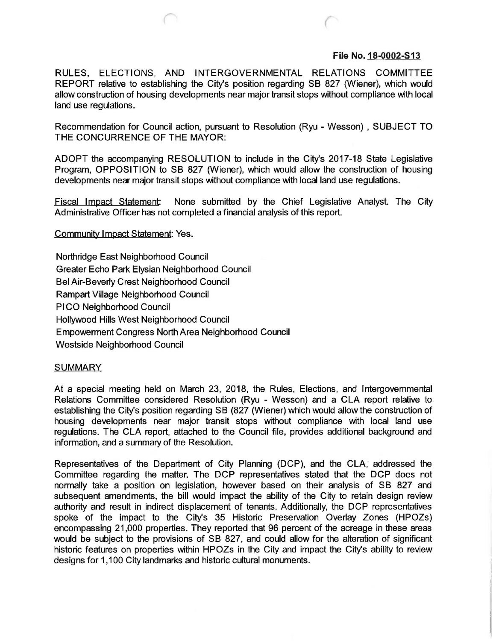## File No.18-0002-513

(

RULES, ELECTIONS, AND INTERGOVERNMENTAL RELATIONS COMMITTEE REPORT relative to establishing the City's position regarding SB 827 (Wiener), which would allow construction of housing developments near major transit stops without compliance with local land use regulations.

Recommendation for Council action, pursuant to Resolution (Ryu- Wesson) , SUBJECT TO THE CONCURRENCE OF THE MAYOR:

ADOPT the accompanying RESOLUTION to include in the City's 2017-18 State Legislative Program, OPPOSITION to SB 827 (Wiener), which would allow the construction of housing developments near major transit stops without compliance with local land use regulations.

Fiscal Impact Statement: None submitted by the Chief Legislative Analyst. The City Administrative Officer has not completed a financial analysis of this report.

Community Impact Statement: Yes.

Northridge East Neighborhood Council Greater Echo Park Elysian Neighborhood Council Bel Air-Beverly Crest Neighborhood Council Rampart Village Neighborhood Council PICO Neighborhood Council Hollywood Hills West Neighborhood Council Empowerment Congress North Area Neighborhood Council Westside Neighborhood Council

## **SUMMARY**

At a special meeting held on March 23, 2018, the Rules, Elections, and Intergovernmental Relations Committee considered Resolution (Ryu - Wesson) and a CLA report relative to establishing the City's position regarding SB (827 (Wiener) which would allow the construction of housing developments near major transit stops without compliance with local land use regulations. The CLA report, attached to the Council file, provides additional background and information, and a summary of the Resolution.

Representatives of the Department of City Planning (DCP), and the CLA; addressed the Committee regarding the matter. The DCP representatives stated that the DCP does not normally take a position on legislation, however based on their analysis of SB 827 and subsequent amendments, the bill would impact the ability of the City to retain design review authority and result in indirect displacement of tenants. Additionally, the DCP representatives spoke of the impact to the City's 35 Historic Preservation Overlay Zones (HPOZs) encompassing 21,000 properties. They reported that 96 percent of the acreage in these areas would be subject to the provisions of SB 827, and could allow for the alteration of significant historic features on properties within HPOZs in the City and impact the City's ability to review designs for 1,100 City landmarks and historic cultural monuments.